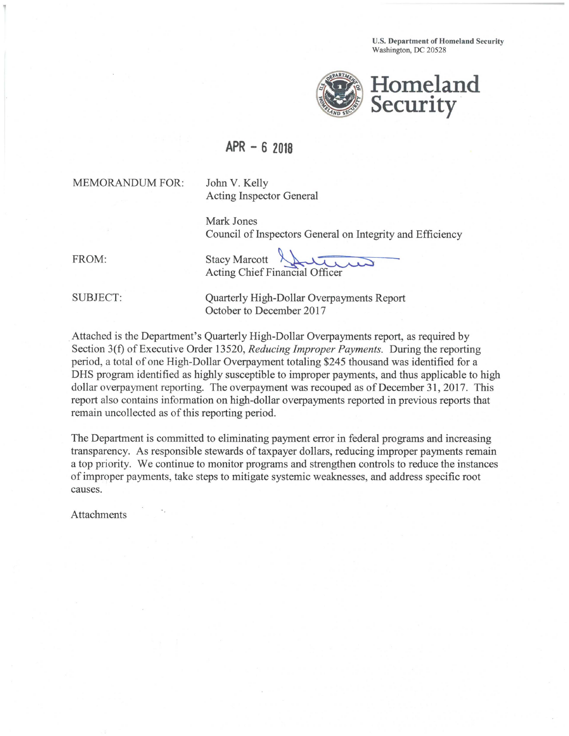**U.S. Department of Homeland Security**  Washington, DC 20528



## **APR - 6 2018**

MEMORANDUM FOR:

John V. Kelly Acting Inspector General

Mark Jones Council of Inspectors General on Integrity and Efficiency

FROM: Stacy Marcott Acting Chief Financial Officer

SUBJECT: Quarterly High-Dollar Overpayments Report October to December 2017

. Attached is the Department's Quarterly High-Dollar Overpayments report, as required by Section 3(f) of Executive Order 13520, *Reducing Improper Payments*. During the reporting period, a total of one High-Dollar Overpayment totaling \$245 thousand was identified for a DHS program identified as highly susceptible to improper payments, and thus applicable to high dollar overpayment reporting. The overpayment was recouped as of December 31, 2017. This report also contains information on high-dollar overpayments reported in previous reports that remain uncollected as of this reporting period.

The Department is committed to eliminating payment error in federal programs and increasing transparency. As responsible stewards of taxpayer dollars, reducing improper payments remain a top priority. We continue to monitor programs and strengthen controls to reduce the instances ofimproper payments, take steps to mitigate systemic weaknesses, and address specific root causes.

**Attachments**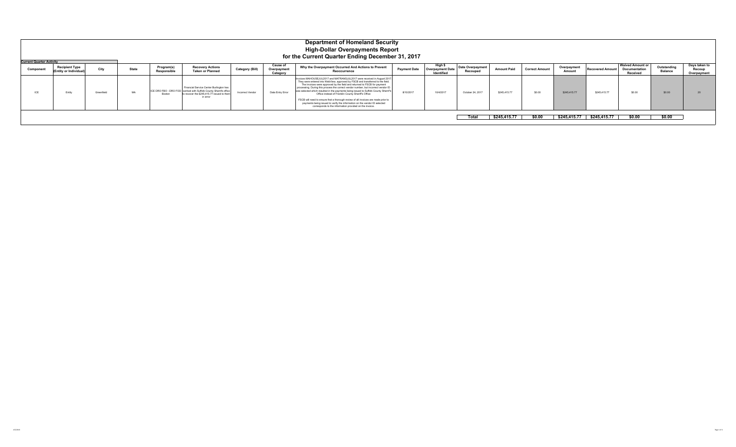|           | <b>Department of Homeland Security</b><br><b>High-Dollar Overpayments Report</b><br>for the Current Quarter Ending December 31, 2017<br><b>Current Quarter Activity</b> |            |              |                           |                                                                                                                                                                       |                        |                                    |                                                                                                                                                                                                                                                                                                                                                                                                                                                                                                                                                                                                                                                                                                        |                     |                                                  |                              |                    |                       |                       |                         |                                                      |                               |                                        |
|-----------|-------------------------------------------------------------------------------------------------------------------------------------------------------------------------|------------|--------------|---------------------------|-----------------------------------------------------------------------------------------------------------------------------------------------------------------------|------------------------|------------------------------------|--------------------------------------------------------------------------------------------------------------------------------------------------------------------------------------------------------------------------------------------------------------------------------------------------------------------------------------------------------------------------------------------------------------------------------------------------------------------------------------------------------------------------------------------------------------------------------------------------------------------------------------------------------------------------------------------------------|---------------------|--------------------------------------------------|------------------------------|--------------------|-----------------------|-----------------------|-------------------------|------------------------------------------------------|-------------------------------|----------------------------------------|
| Component | <b>Recipient Type</b><br>(Entity or Individual                                                                                                                          | City       | <b>State</b> | Program(s)<br>Responsible | <b>Recovery Actions</b><br><b>Taken or Planned</b>                                                                                                                    | <b>Category (Bill)</b> | Cause o<br>Overpayment<br>Category | Why the Overpayment Occurred And Actions to Prevent<br>Reoccurrence                                                                                                                                                                                                                                                                                                                                                                                                                                                                                                                                                                                                                                    | <b>Payment Date</b> | High \$<br>Overpayment Date<br><b>Identified</b> | Date Overpayment<br>Recouped | <b>Amount Paid</b> | <b>Correct Amount</b> | Overpayment<br>Amount | <b>Recovered Amount</b> | <b>Waived Amount or</b><br>Documentation<br>Received | Outstanding<br><b>Balance</b> | Days taken to<br>Recoup<br>Overpayment |
| ICE       | Entity                                                                                                                                                                  | Greenfield | MA           | Boston                    | Financial Service Center Burlington has<br>ICE DRO FBO - DRO FOD worked with Suffolk County Sherrifs office<br>to recover the \$245.415.77 issued to them<br>in error | Incorrect Vendor       | Data Entry Error                   | Invoices MAHOUSEJUL2017 and MATRANSJUL2017 were received in August 2017<br>They were entered into WebView, approved by FSCB and transferred to the field.<br>The invoices were approved by the field and returned to FSCB for payment<br>processing. During this process the correct vendor number, but incorrect vendor ID<br>was selected which resulted in the payments being issued to Suffolk County Sherrif's<br>Office instead of Franklin County Sheriff's Office<br>FSCB will need to ensure that a thorough review of all invoices are made prior to<br>payments being issued to verify the information on the vendor ID selected<br>corresponds to the information provided on the invoice. | 8/10/2017           | 10/4/2017                                        | October 24, 2017             | \$245,415.77       | \$0.00                | \$245,415,77          | \$245,415.77            |                                                      | \$0.00                        |                                        |
|           |                                                                                                                                                                         |            |              |                           |                                                                                                                                                                       |                        |                                    |                                                                                                                                                                                                                                                                                                                                                                                                                                                                                                                                                                                                                                                                                                        |                     |                                                  | Total                        | \$245,415.77       | \$0.00                | \$245,415.77          | \$245,415.77            | \$0.00                                               | \$0.00                        |                                        |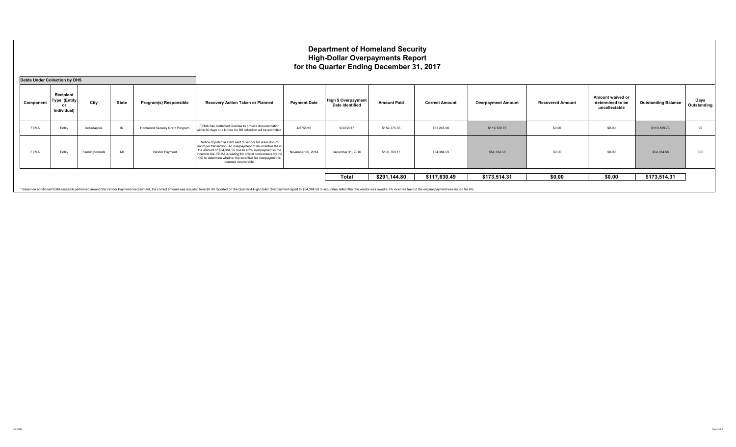|                                      | <b>Department of Homeland Security</b><br><b>High-Dollar Overpayments Report</b><br>for the Quarter Ending December 31, 2017 |                 |              |                                 |                                                                                                                                                                                                                                                                                                                                           |                     |                                                      |                    |                       |                           |                         |                                                       |                            |                     |
|--------------------------------------|------------------------------------------------------------------------------------------------------------------------------|-----------------|--------------|---------------------------------|-------------------------------------------------------------------------------------------------------------------------------------------------------------------------------------------------------------------------------------------------------------------------------------------------------------------------------------------|---------------------|------------------------------------------------------|--------------------|-----------------------|---------------------------|-------------------------|-------------------------------------------------------|----------------------------|---------------------|
| <b>Debts Under Collection by DHS</b> |                                                                                                                              |                 |              |                                 |                                                                                                                                                                                                                                                                                                                                           |                     |                                                      |                    |                       |                           |                         |                                                       |                            |                     |
| Component                            | Recipient<br><b>Type (Entity)</b><br>or<br>Individual)                                                                       | City            | <b>State</b> | Program(s) Responsible          | Recovery Action Taken or Planned                                                                                                                                                                                                                                                                                                          | <b>Payment Date</b> | <b>High \$ Overpayment</b><br><b>Date Identified</b> | <b>Amount Paid</b> | <b>Correct Amount</b> | <b>Overpayment Amount</b> | <b>Recovered Amount</b> | Amount waived or<br>determined to be<br>uncollectable | <b>Outstanding Balance</b> | Days<br>Outstanding |
| FEMA                                 | Entity                                                                                                                       | Indianapolis    | $\mathbb{N}$ | Homeland Security Grant Program | FEMA has contacted Grantee to provide documentation<br>within 60 days or a Notice for Bill collection will be submitted.                                                                                                                                                                                                                  | 4/27/2016           | 9/30/2017                                            | \$182,375.63       | \$63,245.90           | \$119,129.73              | \$0.00                  | \$0.00                                                | \$119,129.73               | 92                  |
| FEMA                                 | Entity                                                                                                                       | Farmingtonmills | MI           | Vendor Payment                  | Notice of potential Debt sent to vendor for resolution of<br>improper transaction. An overpayment of an incentive fee in<br>the amount of \$54,384,59 due to a 3% overpayment in the<br>incentive fee. FEMA is waiting for official concurrence by the<br>CO to determine whether the incentive fee overpayment is<br>deemed recoverable. | November 25, 2014   | December 31, 2016                                    | \$108,769.17       | \$54,384.59           | \$54,384.58               | \$0.00                  | \$0.00                                                | \$54,384.58                | 365                 |
|                                      |                                                                                                                              |                 |              |                                 |                                                                                                                                                                                                                                                                                                                                           |                     | <b>Total</b>                                         | \$291,144.80       | \$117,630.49          | \$173,514.31              | \$0.00                  | \$0.00                                                | \$173,514.31               |                     |

\* Based on additional FEMA research performed around the Vendor Payment overpayment, the correct amount was adjusted from \$0.00 reported on the Quarter 4 High Dollar Overpayment report to \$54,384.59 to accurately reflect t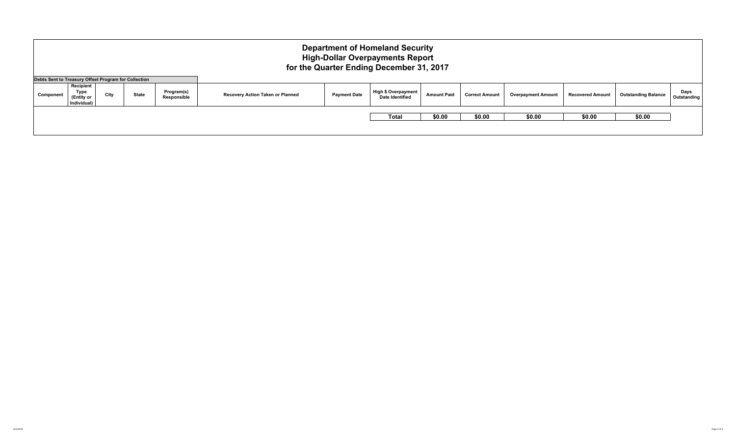|                                                      | <b>Department of Homeland Security</b><br><b>High-Dollar Overpayments Report</b><br>for the Quarter Ending December 31, 2017 |      |              |                           |                                  |                     |                                               |                    |                       |                           |                         |                            |                     |  |
|------------------------------------------------------|------------------------------------------------------------------------------------------------------------------------------|------|--------------|---------------------------|----------------------------------|---------------------|-----------------------------------------------|--------------------|-----------------------|---------------------------|-------------------------|----------------------------|---------------------|--|
| Debts Sent to Treasury Offset Program for Collection |                                                                                                                              |      |              |                           |                                  |                     |                                               |                    |                       |                           |                         |                            |                     |  |
| Component                                            | Recipient<br>Type<br>(Entity or<br>Individual)                                                                               | City | <b>State</b> | Program(s)<br>Responsible | Recovery Action Taken or Planned | <b>Payment Date</b> | <b>High \$ Overpayment</b><br>Date Identified | <b>Amount Paid</b> | <b>Correct Amount</b> | <b>Overpayment Amount</b> | <b>Recovered Amount</b> | <b>Outstanding Balance</b> | Days<br>Outstanding |  |
|                                                      |                                                                                                                              |      |              |                           |                                  |                     | <b>Total</b>                                  | \$0.00             | \$0.00                | \$0.00                    | \$0.00                  | \$0.00                     |                     |  |